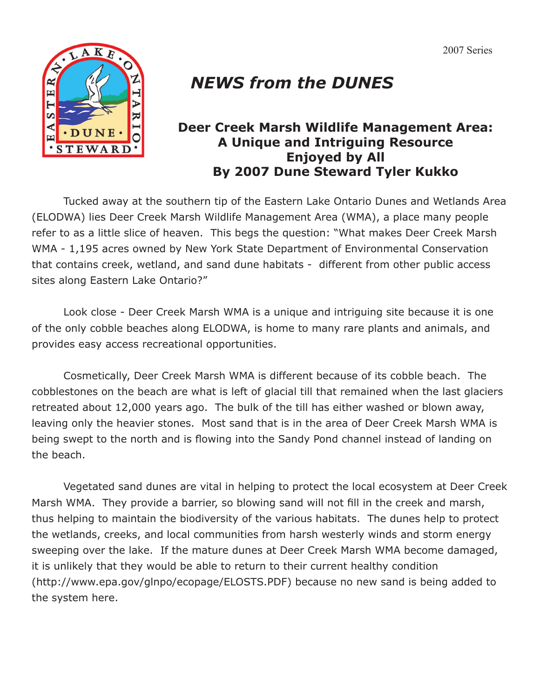

## *NEWS from the DUNES*

## **Deer Creek Marsh Wildlife Management Area: A Unique and Intriguing Resource Enjoyed by All By 2007 Dune Steward Tyler Kukko**

Tucked away at the southern tip of the Eastern Lake Ontario Dunes and Wetlands Area (ELODWA) lies Deer Creek Marsh Wildlife Management Area (WMA), a place many people refer to as a little slice of heaven. This begs the question: "What makes Deer Creek Marsh WMA - 1,195 acres owned by New York State Department of Environmental Conservation that contains creek, wetland, and sand dune habitats - different from other public access sites along Eastern Lake Ontario?"

 Look close - Deer Creek Marsh WMA is a unique and intriguing site because it is one of the only cobble beaches along ELODWA, is home to many rare plants and animals, and provides easy access recreational opportunities.

 Cosmetically, Deer Creek Marsh WMA is different because of its cobble beach. The cobblestones on the beach are what is left of glacial till that remained when the last glaciers retreated about 12,000 years ago. The bulk of the till has either washed or blown away, leaving only the heavier stones. Most sand that is in the area of Deer Creek Marsh WMA is being swept to the north and is flowing into the Sandy Pond channel instead of landing on the beach.

 Vegetated sand dunes are vital in helping to protect the local ecosystem at Deer Creek Marsh WMA. They provide a barrier, so blowing sand will not fill in the creek and marsh, thus helping to maintain the biodiversity of the various habitats. The dunes help to protect the wetlands, creeks, and local communities from harsh westerly winds and storm energy sweeping over the lake. If the mature dunes at Deer Creek Marsh WMA become damaged, it is unlikely that they would be able to return to their current healthy condition (http://www.epa.gov/glnpo/ecopage/ELOSTS.PDF) because no new sand is being added to the system here.